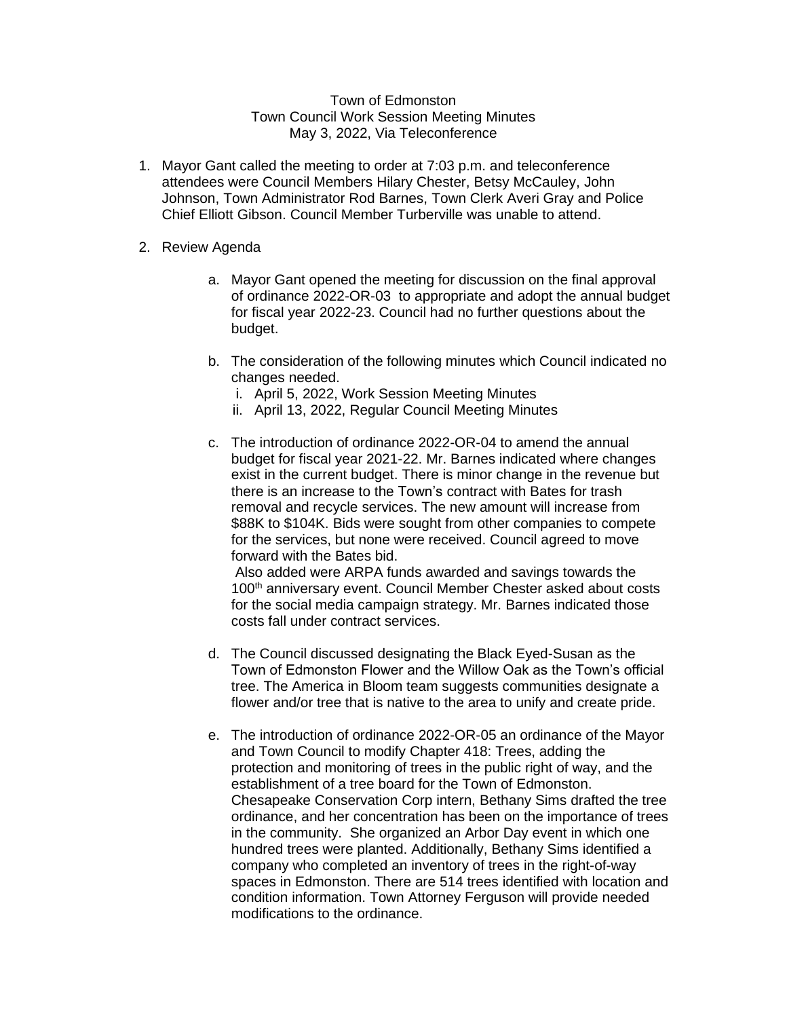## Town of Edmonston Town Council Work Session Meeting Minutes May 3, 2022, Via Teleconference

- 1. Mayor Gant called the meeting to order at 7:03 p.m. and teleconference attendees were Council Members Hilary Chester, Betsy McCauley, John Johnson, Town Administrator Rod Barnes, Town Clerk Averi Gray and Police Chief Elliott Gibson. Council Member Turberville was unable to attend.
- 2. Review Agenda
	- a. Mayor Gant opened the meeting for discussion on the final approval of ordinance 2022-OR-03 to appropriate and adopt the annual budget for fiscal year 2022-23. Council had no further questions about the budget.
	- b. The consideration of the following minutes which Council indicated no changes needed.
		- i. April 5, 2022, Work Session Meeting Minutes
		- ii. April 13, 2022, Regular Council Meeting Minutes
	- c. The introduction of ordinance 2022-OR-04 to amend the annual budget for fiscal year 2021-22. Mr. Barnes indicated where changes exist in the current budget. There is minor change in the revenue but there is an increase to the Town's contract with Bates for trash removal and recycle services. The new amount will increase from \$88K to \$104K. Bids were sought from other companies to compete for the services, but none were received. Council agreed to move forward with the Bates bid.

Also added were ARPA funds awarded and savings towards the 100<sup>th</sup> anniversary event. Council Member Chester asked about costs for the social media campaign strategy. Mr. Barnes indicated those costs fall under contract services.

- d. The Council discussed designating the Black Eyed-Susan as the Town of Edmonston Flower and the Willow Oak as the Town's official tree. The America in Bloom team suggests communities designate a flower and/or tree that is native to the area to unify and create pride.
- e. The introduction of ordinance 2022-OR-05 an ordinance of the Mayor and Town Council to modify Chapter 418: Trees, adding the protection and monitoring of trees in the public right of way, and the establishment of a tree board for the Town of Edmonston. Chesapeake Conservation Corp intern, Bethany Sims drafted the tree ordinance, and her concentration has been on the importance of trees in the community. She organized an Arbor Day event in which one hundred trees were planted. Additionally, Bethany Sims identified a company who completed an inventory of trees in the right-of-way spaces in Edmonston. There are 514 trees identified with location and condition information. Town Attorney Ferguson will provide needed modifications to the ordinance.